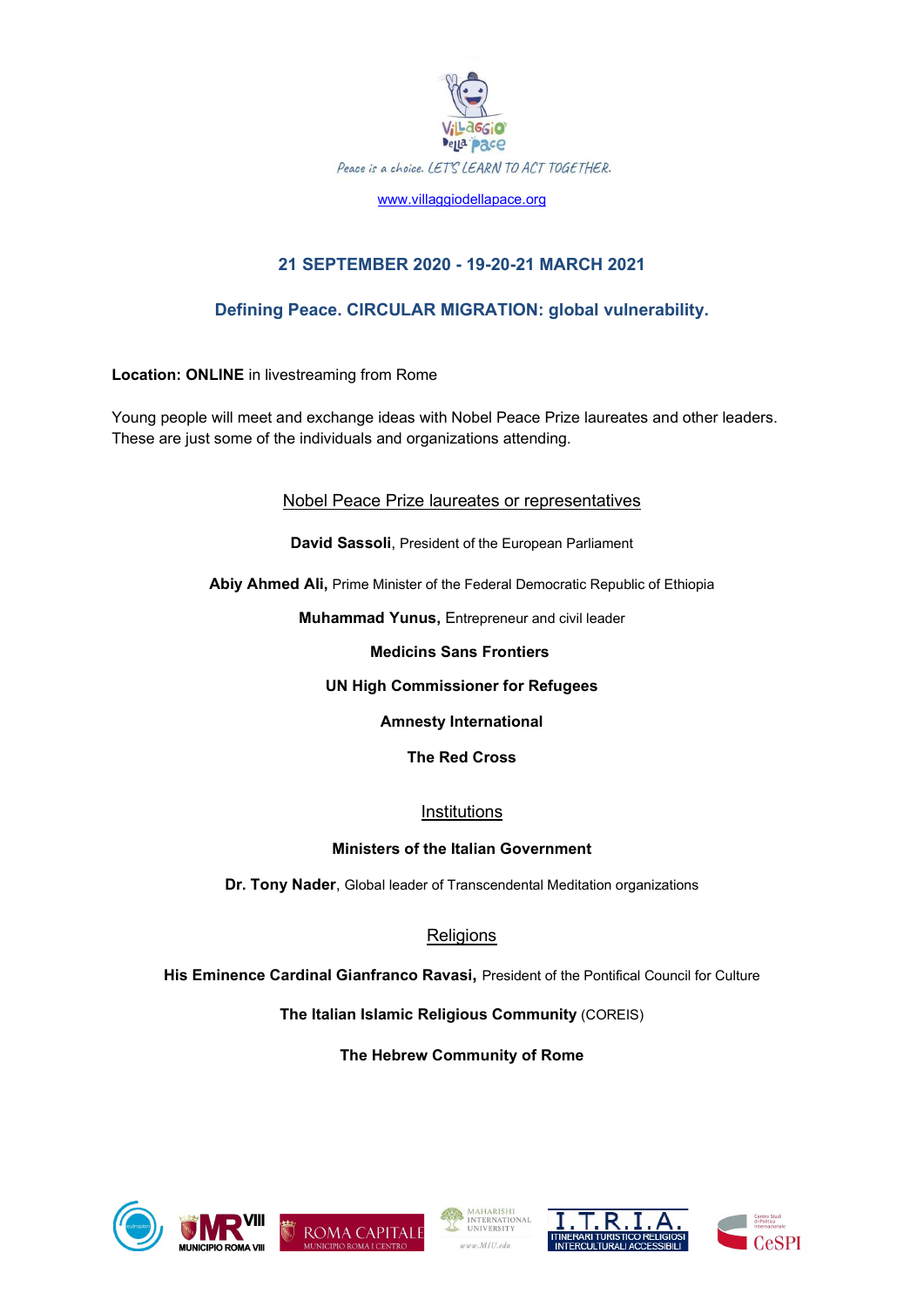

www.villaggiodellapace.org

# 21 SEPTEMBER 2020 - 19-20-21 MARCH 2021

## Defining Peace. CIRCULAR MIGRATION: global vulnerability.

Location: ONLINE in livestreaming from Rome

Young people will meet and exchange ideas with Nobel Peace Prize laureates and other leaders. These are just some of the individuals and organizations attending.

Nobel Peace Prize laureates or representatives

David Sassoli, President of the European Parliament

Abiy Ahmed Ali, Prime Minister of the Federal Democratic Republic of Ethiopia

Muhammad Yunus, Entrepreneur and civil leader

Medicins Sans Frontiers

### UN High Commissioner for Refugees

Amnesty International

The Red Cross

Institutions

### Ministers of the Italian Government

Dr. Tony Nader, Global leader of Transcendental Meditation organizations

# **Religions**

His Eminence Cardinal Gianfranco Ravasi, President of the Pontifical Council for Culture

The Italian Islamic Religious Community (COREIS)

The Hebrew Community of Rome